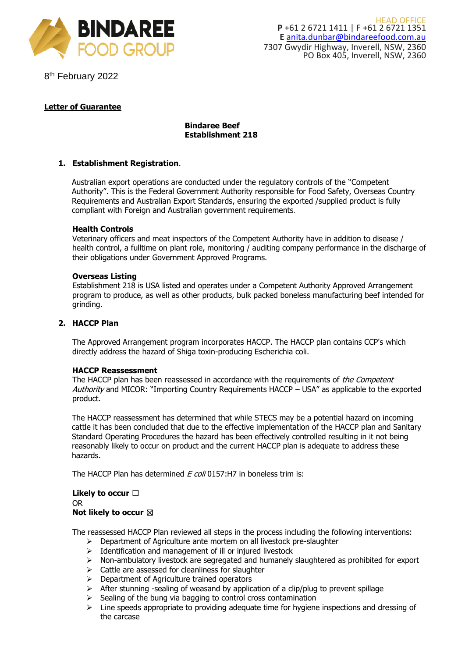

8<sup>th</sup> February 2022

# **Letter of Guarantee**

# **Bindaree Beef Establishment 218**

# **1. Establishment Registration**.

Australian export operations are conducted under the regulatory controls of the "Competent Authority". This is the Federal Government Authority responsible for Food Safety, Overseas Country Requirements and Australian Export Standards, ensuring the exported /supplied product is fully compliant with Foreign and Australian government requirements.

# **Health Controls**

Veterinary officers and meat inspectors of the Competent Authority have in addition to disease / health control, a fulltime on plant role, monitoring / auditing company performance in the discharge of their obligations under Government Approved Programs.

# **Overseas Listing**

Establishment 218 is USA listed and operates under a Competent Authority Approved Arrangement program to produce, as well as other products, bulk packed boneless manufacturing beef intended for grinding.

# **2. HACCP Plan**

The Approved Arrangement program incorporates HACCP. The HACCP plan contains CCP's which directly address the hazard of Shiga toxin-producing Escherichia coli.

# **HACCP Reassessment**

The HACCP plan has been reassessed in accordance with the requirements of the Competent Authority and MICOR: "Importing Country Requirements HACCP – USA" as applicable to the exported product.

The HACCP reassessment has determined that while STECS may be a potential hazard on incoming cattle it has been concluded that due to the effective implementation of the HACCP plan and Sanitary Standard Operating Procedures the hazard has been effectively controlled resulting in it not being reasonably likely to occur on product and the current HACCP plan is adequate to address these hazards.

The HACCP Plan has determined  $E$  coli 0157:H7 in boneless trim is:

### **Likely to occur** ☐ OR **Not likely to occur** ☒

The reassessed HACCP Plan reviewed all steps in the process including the following interventions:

- ➢ Department of Agriculture ante mortem on all livestock pre-slaughter
- ➢ Identification and management of ill or injured livestock
- ➢ Non-ambulatory livestock are segregated and humanely slaughtered as prohibited for export
- ➢ Cattle are assessed for cleanliness for slaughter
- ➢ Department of Agriculture trained operators
- $\triangleright$  After stunning -sealing of weasand by application of a clip/plug to prevent spillage
- $\triangleright$  Sealing of the bung via bagging to control cross contamination
- $\triangleright$  Line speeds appropriate to providing adequate time for hygiene inspections and dressing of the carcase